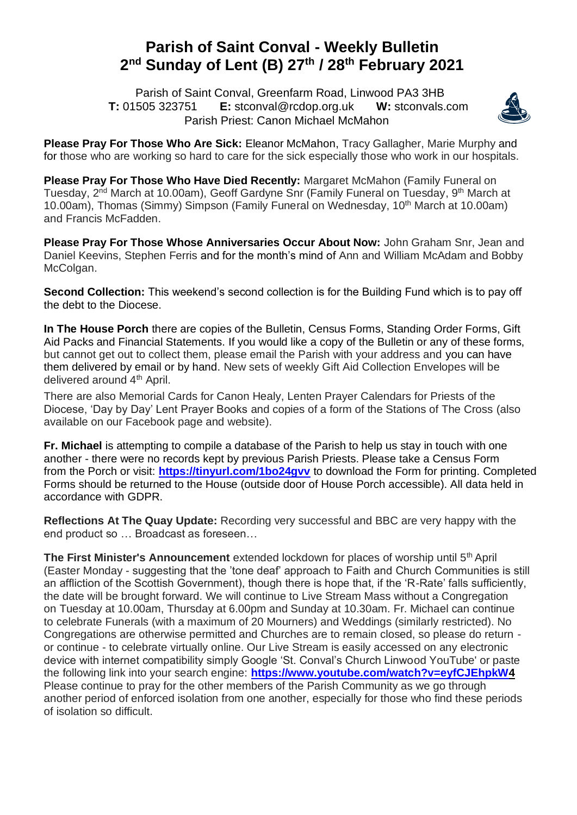## **Parish of Saint Conval - Weekly Bulletin 2 nd Sunday of Lent (B) 27 th / 28 th February 2021**

 Parish of Saint Conval, Greenfarm Road, Linwood PA3 3HB **T:** 01505 323751 **E:** [stconval@rcdop.org.uk](mailto:stconval@rcdop.org.uk) **W:** stconvals.com Parish Priest: Canon Michael McMahon



**Please Pray For Those Who Are Sick:** Eleanor McMahon, Tracy Gallagher, Marie Murphy and for those who are working so hard to care for the sick especially those who work in our hospitals.

**Please Pray For Those Who Have Died Recently:** Margaret McMahon (Family Funeral on Tuesday, 2<sup>nd</sup> March at 10.00am), Geoff Gardyne Snr (Family Funeral on Tuesday, 9<sup>th</sup> March at 10.00am), Thomas (Simmy) Simpson (Family Funeral on Wednesday, 10<sup>th</sup> March at 10.00am) and Francis McFadden.

**Please Pray For Those Whose Anniversaries Occur About Now:** John Graham Snr, Jean and Daniel Keevins, Stephen Ferris and for the month's mind of Ann and William McAdam and Bobby McColgan.

**Second Collection:** This weekend's second collection is for the Building Fund which is to pay off the debt to the Diocese.

**In The House Porch** there are copies of the Bulletin, Census Forms, Standing Order Forms, Gift Aid Packs and Financial Statements. If you would like a copy of the Bulletin or any of these forms, but cannot get out to collect them, please email the Parish with your address and you can have them delivered by email or by hand. New sets of weekly Gift Aid Collection Envelopes will be delivered around 4<sup>th</sup> April.

There are also Memorial Cards for Canon Healy, Lenten Prayer Calendars for Priests of the Diocese, 'Day by Day' Lent Prayer Books and copies of a form of the Stations of The Cross (also available on our Facebook page and website).

**Fr. Michael** is attempting to compile a database of the Parish to help us stay in touch with one another - there were no records kept by previous Parish Priests. Please take a Census Form from the Porch or visit: **<https://tinyurl.com/1bo24gvv>** to download the Form for printing. Completed Forms should be returned to the House (outside door of House Porch accessible). All data held in accordance with GDPR.

**Reflections At The Quay Update:** Recording very successful and BBC are very happy with the end product so … Broadcast as foreseen…

**The First Minister's Announcement** extended lockdown for places of worship until 5<sup>th</sup> April (Easter Monday - suggesting that the 'tone deaf' approach to Faith and Church Communities is still an affliction of the Scottish Government), though there is hope that, if the 'R-Rate' falls sufficiently, the date will be brought forward. We will continue to Live Stream Mass without a Congregation on Tuesday at 10.00am, Thursday at 6.00pm and Sunday at 10.30am. Fr. Michael can continue to celebrate Funerals (with a maximum of 20 Mourners) and Weddings (similarly restricted). No Congregations are otherwise permitted and Churches are to remain closed, so please do return or continue - to celebrate virtually online. Our Live Stream is easily accessed on any electronic device with internet compatibility simply Google 'St. Conval's Church Linwood YouTube' or paste the following link into your search engine: **<https://www.youtube.com/watch?v=eyfCJEhpkW4>** Please continue to pray for the other members of the Parish Community as we go through another period of enforced isolation from one another, especially for those who find these periods of isolation so difficult.